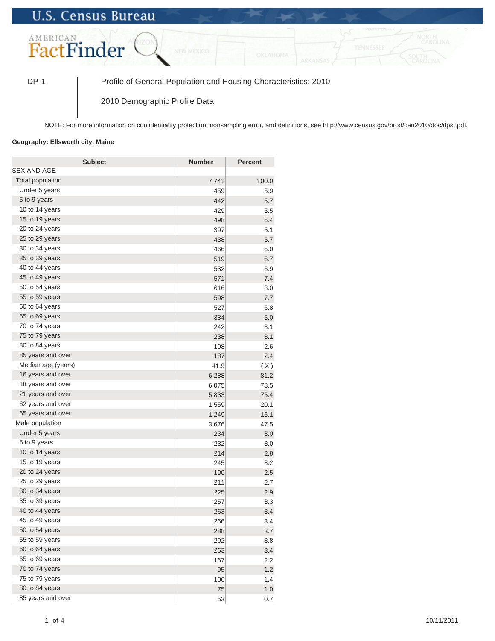## **U.S. Census Bureau**



DP-1 Profile of General Population and Housing Characteristics: 2010

2010 Demographic Profile Data

NOTE: For more information on confidentiality protection, nonsampling error, and definitions, see http://www.census.gov/prod/cen2010/doc/dpsf.pdf.

## **Geography: Ellsworth city, Maine**

| <b>Subject</b>     | <b>Number</b> | <b>Percent</b> |
|--------------------|---------------|----------------|
| <b>SEX AND AGE</b> |               |                |
| Total population   | 7,741         | 100.0          |
| Under 5 years      | 459           | 5.9            |
| 5 to 9 years       | 442           | 5.7            |
| 10 to 14 years     | 429           | 5.5            |
| 15 to 19 years     | 498           | 6.4            |
| 20 to 24 years     | 397           | 5.1            |
| 25 to 29 years     | 438           | 5.7            |
| 30 to 34 years     | 466           | 6.0            |
| 35 to 39 years     | 519           | 6.7            |
| 40 to 44 years     | 532           | 6.9            |
| 45 to 49 years     | 571           | 7.4            |
| 50 to 54 years     | 616           | 8.0            |
| 55 to 59 years     | 598           | 7.7            |
| 60 to 64 years     | 527           | 6.8            |
| 65 to 69 years     | 384           | 5.0            |
| 70 to 74 years     | 242           | 3.1            |
| 75 to 79 years     | 238           | 3.1            |
| 80 to 84 years     | 198           | 2.6            |
| 85 years and over  | 187           | 2.4            |
| Median age (years) | 41.9          | (X)            |
| 16 years and over  | 6,288         | 81.2           |
| 18 years and over  | 6,075         | 78.5           |
| 21 years and over  | 5,833         | 75.4           |
| 62 years and over  | 1,559         | 20.1           |
| 65 years and over  | 1,249         | 16.1           |
| Male population    | 3,676         | 47.5           |
| Under 5 years      | 234           | 3.0            |
| 5 to 9 years       | 232           | 3.0            |
| 10 to 14 years     | 214           | 2.8            |
| 15 to 19 years     | 245           | 3.2            |
| 20 to 24 years     | 190           | 2.5            |
| 25 to 29 years     | 211           | 2.7            |
| 30 to 34 years     | 225           | 2.9            |
| 35 to 39 years     | 257           | 3.3            |
| 40 to 44 years     | 263           | 3.4            |
| 45 to 49 years     | 266           | 3.4            |
| 50 to 54 years     | 288           | 3.7            |
| 55 to 59 years     | 292           | 3.8            |
| 60 to 64 years     | 263           | 3.4            |
| 65 to 69 years     | 167           | 2.2            |
| 70 to 74 years     | 95            | 1.2            |
| 75 to 79 years     | 106           | 1.4            |
| 80 to 84 years     | 75            | 1.0            |
| 85 years and over  | 53            | 0.7            |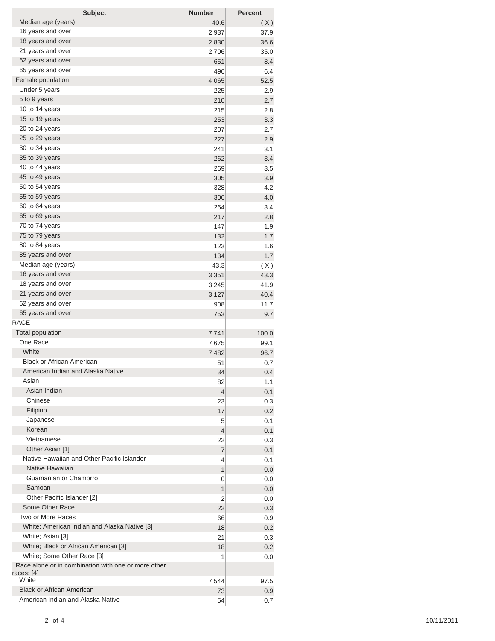| <b>Subject</b>                                      | <b>Number</b> | <b>Percent</b> |
|-----------------------------------------------------|---------------|----------------|
| Median age (years)                                  | 40.6          | (X)            |
| 16 years and over                                   | 2,937         | 37.9           |
| 18 years and over                                   | 2,830         | 36.6           |
| 21 years and over                                   | 2,706         | 35.0           |
| 62 years and over                                   | 651           | 8.4            |
| 65 years and over                                   | 496           | 6.4            |
| Female population                                   | 4,065         | 52.5           |
| Under 5 years                                       | 225           | 2.9            |
| 5 to 9 years                                        | 210           | 2.7            |
| 10 to 14 years                                      | 215           | 2.8            |
| 15 to 19 years                                      | 253           | 3.3            |
| 20 to 24 years                                      | 207           | 2.7            |
| 25 to 29 years                                      | 227           | 2.9            |
| 30 to 34 years                                      | 241           | 3.1            |
| 35 to 39 years                                      | 262           | 3.4            |
| 40 to 44 years                                      | 269           | 3.5            |
| 45 to 49 years                                      | 305           | 3.9            |
| 50 to 54 years                                      | 328           | 4.2            |
| 55 to 59 years                                      | 306           | 4.0            |
| 60 to 64 years                                      | 264           | 3.4            |
| 65 to 69 years                                      | 217           | 2.8            |
| 70 to 74 years                                      | 147           | 1.9            |
| 75 to 79 years                                      | 132           | 1.7            |
| 80 to 84 years                                      | 123           | 1.6            |
| 85 years and over                                   | 134           | 1.7            |
| Median age (years)                                  | 43.3          | (X)            |
| 16 years and over                                   | 3,351         | 43.3           |
| 18 years and over                                   | 3,245         | 41.9           |
| 21 years and over                                   | 3,127         | 40.4           |
| 62 years and over                                   | 908           | 11.7           |
| 65 years and over                                   | 753           | 9.7            |
| <b>RACE</b>                                         |               |                |
| <b>Total population</b>                             | 7,741         | 100.0          |
| One Race                                            | 7,675         | 99.1           |
| White                                               | 7,482         | 96.7           |
| <b>Black or African American</b>                    | 51            | 0.7            |
| American Indian and Alaska Native                   | 34            | 0.4            |
| Asian                                               | 82            | 1.1            |
| Asian Indian                                        | 4             | 0.1            |
| Chinese                                             | 23            | 0.3            |
| Filipino                                            | 17            | 0.2            |
| Japanese                                            | 5             | 0.1            |
| Korean                                              | 4             | 0.1            |
| Vietnamese                                          | 22            | 0.3            |
| Other Asian [1]                                     | 7             | 0.1            |
| Native Hawaiian and Other Pacific Islander          | 4             | 0.1            |
| Native Hawaiian                                     | 1             | 0.0            |
| Guamanian or Chamorro                               | 0             | 0.0            |
| Samoan                                              | 1             | 0.0            |
| Other Pacific Islander [2]                          | 2             | 0.0            |
| Some Other Race                                     | 22            | 0.3            |
| Two or More Races                                   |               |                |
| White; American Indian and Alaska Native [3]        | 66<br>18      | 0.9<br>0.2     |
| White; Asian [3]                                    |               |                |
| White; Black or African American [3]                | 21            | 0.3            |
| White; Some Other Race [3]                          | 18            | 0.2            |
| Race alone or in combination with one or more other | 1             | 0.0            |
| races: [4]                                          |               |                |
| White                                               | 7,544         | 97.5           |
| <b>Black or African American</b>                    | 73            | 0.9            |
| American Indian and Alaska Native                   | 54            | 0.7            |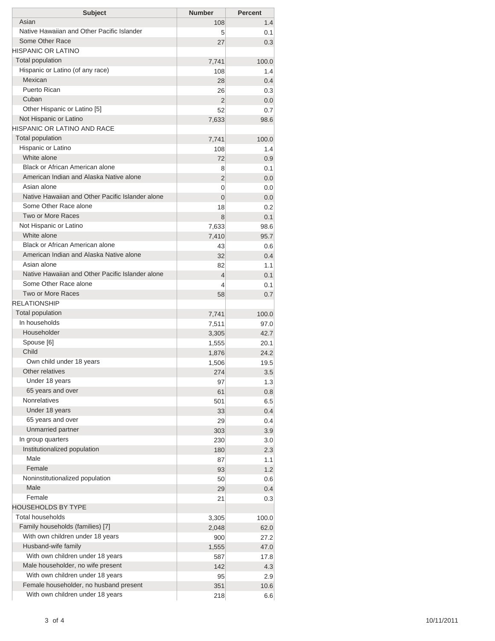| <b>Subject</b>                                   | <b>Number</b>  | <b>Percent</b> |
|--------------------------------------------------|----------------|----------------|
| Asian                                            | 108            | 1.4            |
| Native Hawaiian and Other Pacific Islander       | 5              | 0.1            |
| Some Other Race                                  | 27             | 0.3            |
| <b>HISPANIC OR LATINO</b>                        |                |                |
| <b>Total population</b>                          | 7,741          | 100.0          |
| Hispanic or Latino (of any race)                 | 108            | 1.4            |
| Mexican                                          | 28             | 0.4            |
| Puerto Rican                                     | 26             | 0.3            |
| Cuban                                            | 2              | 0.0            |
| Other Hispanic or Latino [5]                     | 52             | 0.7            |
| Not Hispanic or Latino                           | 7,633          | 98.6           |
| HISPANIC OR LATINO AND RACE                      |                |                |
| <b>Total population</b>                          | 7,741          | 100.0          |
| Hispanic or Latino                               | 108            | 1.4            |
| White alone                                      | 72             | 0.9            |
| <b>Black or African American alone</b>           | 8              | 0.1            |
| American Indian and Alaska Native alone          | 2              | 0.0            |
| Asian alone                                      | 0              | 0.0            |
| Native Hawaiian and Other Pacific Islander alone | 0              | 0.0            |
| Some Other Race alone                            | 18             | 0.2            |
| Two or More Races                                | 8              | 0.1            |
| Not Hispanic or Latino                           | 7,633          | 98.6           |
| White alone                                      | 7,410          | 95.7           |
| <b>Black or African American alone</b>           | 43             | 0.6            |
| American Indian and Alaska Native alone          | 32             | 0.4            |
| Asian alone                                      | 82             | 1.1            |
| Native Hawaiian and Other Pacific Islander alone | $\overline{4}$ | 0.1            |
| Some Other Race alone                            | 4              | 0.1            |
| Two or More Races                                | 58             | 0.7            |
| <b>RELATIONSHIP</b>                              |                |                |
| Total population                                 | 7,741          | 100.0          |
| In households                                    | 7,511          | 97.0           |
| Householder                                      | 3,305          | 42.7           |
| Spouse [6]                                       | 1,555          | 20.1           |
| Child                                            | 1,876          | 24.2           |
| Own child under 18 years                         | 1,506          | 19.5           |
| Other relatives                                  | 274            | 3.5            |
| Under 18 years                                   | 97             | 1.3            |
| 65 years and over                                | 61             | 0.8            |
| <b>Nonrelatives</b>                              | 501            | 6.5            |
| Under 18 years                                   | 33             | 0.4            |
| 65 years and over                                | 29             | 0.4            |
| Unmarried partner                                | 303            | 3.9            |
| In group quarters                                | 230            | 3.0            |
| Institutionalized population                     | 180            | 2.3            |
| Male                                             | 87             | 1.1            |
| Female                                           | 93             | 1.2            |
| Noninstitutionalized population                  | 50             | 0.6            |
| Male                                             | 29             | 0.4            |
| Female                                           | 21             | 0.3            |
| <b>HOUSEHOLDS BY TYPE</b>                        |                |                |
| Total households                                 | 3,305          | 100.0          |
| Family households (families) [7]                 | 2,048          | 62.0           |
| With own children under 18 years                 | 900            | 27.2           |
| Husband-wife family                              | 1,555          | 47.0           |
| With own children under 18 years                 | 587            | 17.8           |
| Male householder, no wife present                | 142            | 4.3            |
| With own children under 18 years                 | 95             | 2.9            |
| Female householder, no husband present           | 351            | 10.6           |
|                                                  |                |                |